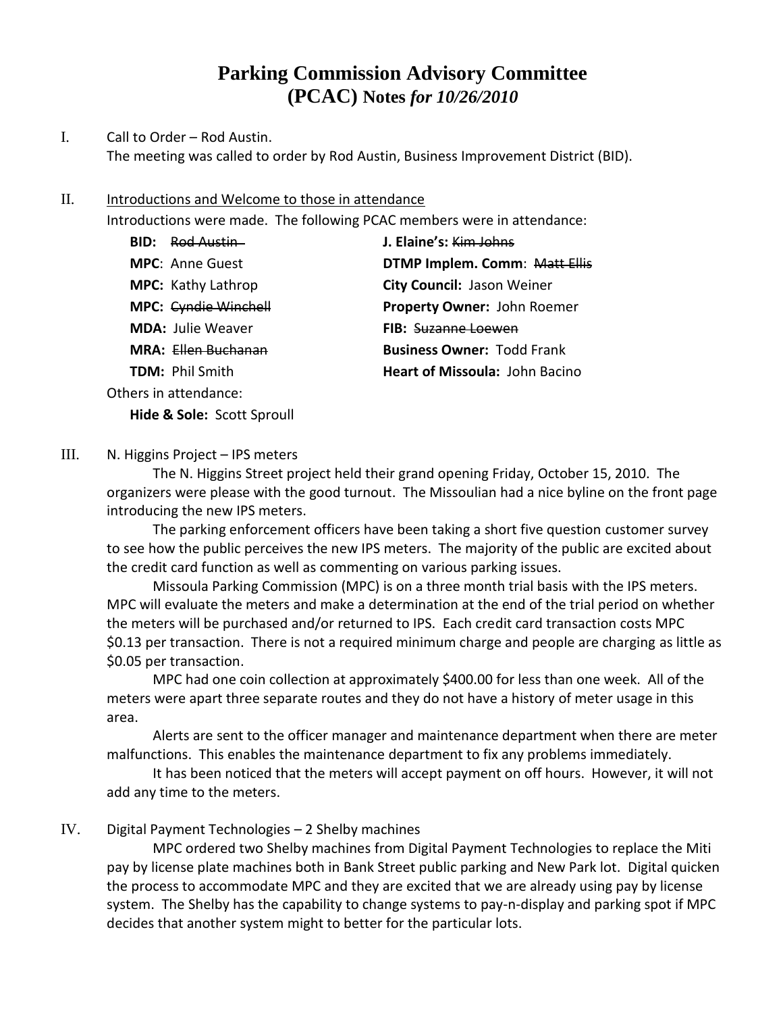# **Parking Commission Advisory Committee (PCAC) Notes** *for 10/26/2010*

## I. Call to Order – Rod Austin. The meeting was called to order by Rod Austin, Business Improvement District (BID).

### II. Introductions and Welcome to those in attendance

Introductions were made. The following PCAC members were in attendance:

| <b>BID: Rod Austin-</b>   | J. Elaine's: Kim Johns               |
|---------------------------|--------------------------------------|
| <b>MPC: Anne Guest</b>    | <b>DTMP Implem. Comm: Matt Ellis</b> |
| <b>MPC:</b> Kathy Lathrop | City Council: Jason Weiner           |
| MPC: Cyndie Winchell      | Property Owner: John Roemer          |
| <b>MDA: Julie Weaver</b>  | <b>FIB:</b> Suzanne Loewen           |
| MRA: Ellen Buchanan       | <b>Business Owner: Todd Frank</b>    |
| <b>TDM: Phil Smith</b>    | Heart of Missoula: John Bacino       |
|                           |                                      |

Others in attendance:

**Hide & Sole:** Scott Sproull

## III. N. Higgins Project – IPS meters

The N. Higgins Street project held their grand opening Friday, October 15, 2010. The organizers were please with the good turnout. The Missoulian had a nice byline on the front page introducing the new IPS meters.

The parking enforcement officers have been taking a short five question customer survey to see how the public perceives the new IPS meters. The majority of the public are excited about the credit card function as well as commenting on various parking issues.

Missoula Parking Commission (MPC) is on a three month trial basis with the IPS meters. MPC will evaluate the meters and make a determination at the end of the trial period on whether the meters will be purchased and/or returned to IPS. Each credit card transaction costs MPC \$0.13 per transaction. There is not a required minimum charge and people are charging as little as \$0.05 per transaction.

MPC had one coin collection at approximately \$400.00 for less than one week. All of the meters were apart three separate routes and they do not have a history of meter usage in this area.

Alerts are sent to the officer manager and maintenance department when there are meter malfunctions. This enables the maintenance department to fix any problems immediately.

It has been noticed that the meters will accept payment on off hours. However, it will not add any time to the meters.

# IV. Digital Payment Technologies – 2 Shelby machines

MPC ordered two Shelby machines from Digital Payment Technologies to replace the Miti pay by license plate machines both in Bank Street public parking and New Park lot. Digital quicken the process to accommodate MPC and they are excited that we are already using pay by license system. The Shelby has the capability to change systems to pay-n-display and parking spot if MPC decides that another system might to better for the particular lots.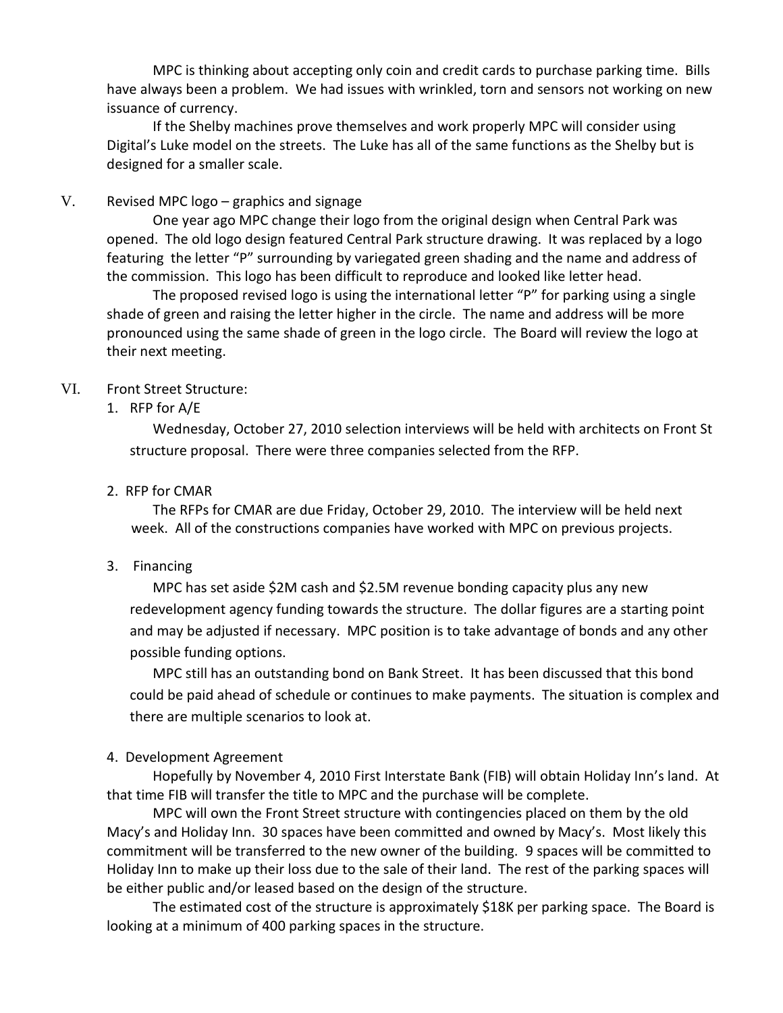MPC is thinking about accepting only coin and credit cards to purchase parking time. Bills have always been a problem. We had issues with wrinkled, torn and sensors not working on new issuance of currency.

If the Shelby machines prove themselves and work properly MPC will consider using Digital's Luke model on the streets. The Luke has all of the same functions as the Shelby but is designed for a smaller scale.

## V. Revised MPC logo – graphics and signage

One year ago MPC change their logo from the original design when Central Park was opened. The old logo design featured Central Park structure drawing. It was replaced by a logo featuring the letter "P" surrounding by variegated green shading and the name and address of the commission. This logo has been difficult to reproduce and looked like letter head.

The proposed revised logo is using the international letter "P" for parking using a single shade of green and raising the letter higher in the circle. The name and address will be more pronounced using the same shade of green in the logo circle. The Board will review the logo at their next meeting.

### VI. Front Street Structure:

## 1. RFP for A/E

Wednesday, October 27, 2010 selection interviews will be held with architects on Front St structure proposal. There were three companies selected from the RFP.

### 2. RFP for CMAR

The RFPs for CMAR are due Friday, October 29, 2010. The interview will be held next week. All of the constructions companies have worked with MPC on previous projects.

#### 3. Financing

MPC has set aside \$2M cash and \$2.5M revenue bonding capacity plus any new redevelopment agency funding towards the structure. The dollar figures are a starting point and may be adjusted if necessary. MPC position is to take advantage of bonds and any other possible funding options.

MPC still has an outstanding bond on Bank Street. It has been discussed that this bond could be paid ahead of schedule or continues to make payments. The situation is complex and there are multiple scenarios to look at.

#### 4. Development Agreement

Hopefully by November 4, 2010 First Interstate Bank (FIB) will obtain Holiday Inn's land. At that time FIB will transfer the title to MPC and the purchase will be complete.

MPC will own the Front Street structure with contingencies placed on them by the old Macy's and Holiday Inn. 30 spaces have been committed and owned by Macy's. Most likely this commitment will be transferred to the new owner of the building. 9 spaces will be committed to Holiday Inn to make up their loss due to the sale of their land. The rest of the parking spaces will be either public and/or leased based on the design of the structure.

The estimated cost of the structure is approximately \$18K per parking space. The Board is looking at a minimum of 400 parking spaces in the structure.